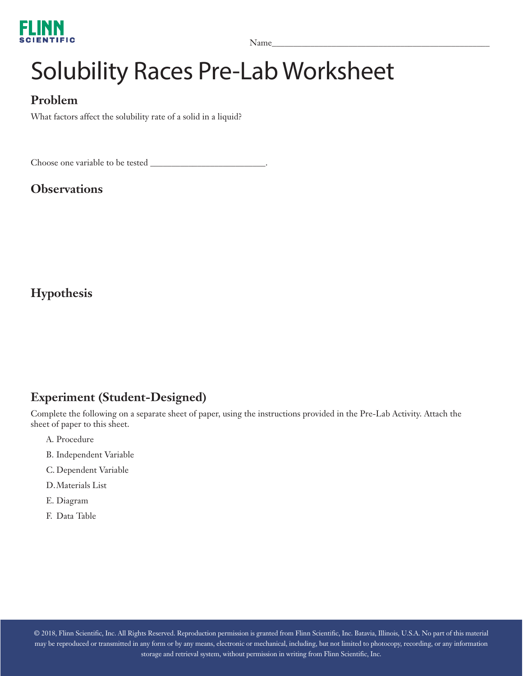

Name\_\_\_\_\_\_\_\_\_\_\_\_\_\_\_\_\_\_\_\_\_\_\_\_\_\_\_\_\_\_\_\_\_\_\_\_\_\_\_\_\_\_\_\_\_\_\_\_\_\_\_

# Solubility Races Pre-Lab Worksheet

### **Problem**

What factors affect the solubility rate of a solid in a liquid?

Choose one variable to be tested  $\equiv$ 

#### **Observations**

**Hypothesis**

#### **Experiment (Student-Designed)**

Complete the following on a separate sheet of paper, using the instructions provided in the Pre-Lab Activity. Attach the sheet of paper to this sheet.

- A. Procedure
- B. Independent Variable
- C. Dependent Variable
- D.Materials List
- E. Diagram
- F. Data Table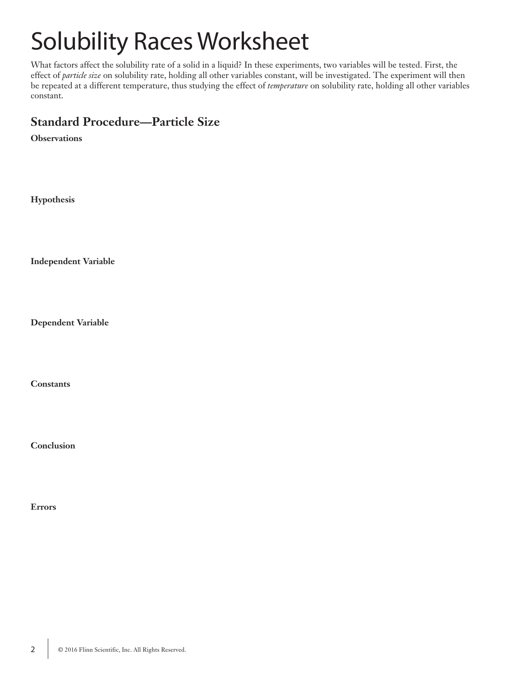# Solubility Races Worksheet

What factors affect the solubility rate of a solid in a liquid? In these experiments, two variables will be tested. First, the effect of *particle size* on solubility rate, holding all other variables constant, will be investigated. The experiment will then be repeated at a different temperature, thus studying the effect of *temperature* on solubility rate, holding all other variables constant.

### **Standard Procedure—Particle Size**

**Observations**

**Hypothesis**

**Independent Variable**

**Dependent Variable**

**Constants**

**Conclusion**

**Errors**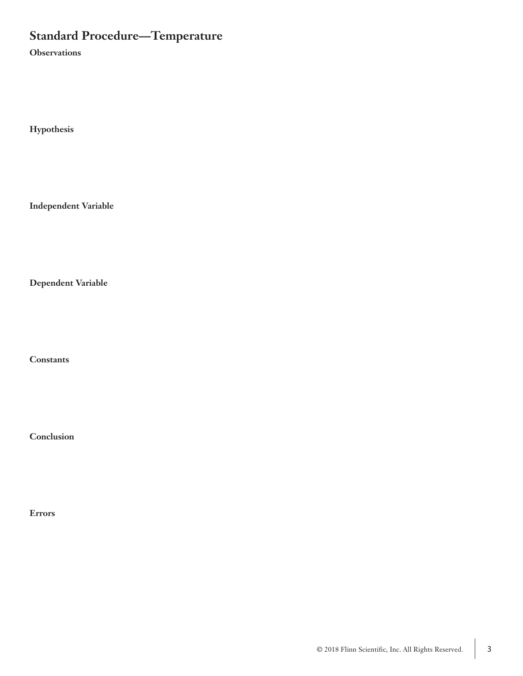## **Standard Procedure—Temperature**

**Observations**

**Hypothesis**

**Independent Variable**

**Dependent Variable**

**Constants**

**Conclusion**

**Errors**